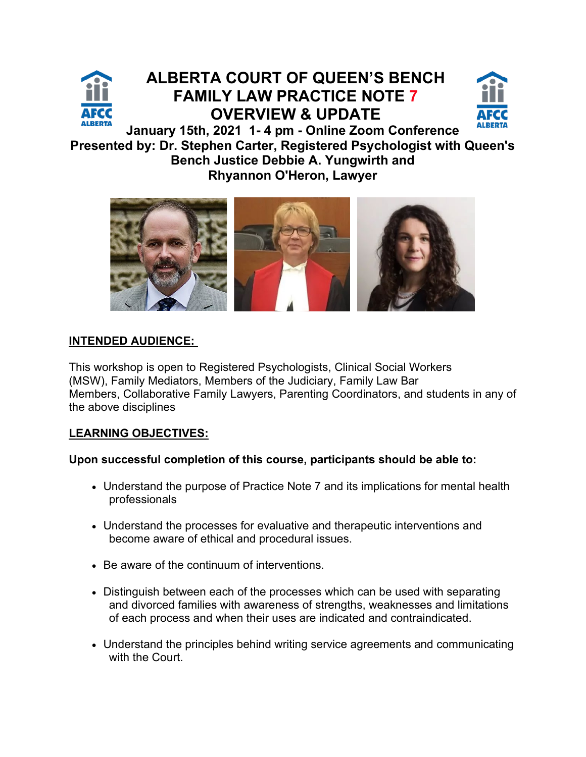

## **ALBERTA COURT OF QUEEN'S BENCH FAMILY LAW PRACTICE NOTE 7 [OVERVIEW & UPDATE](https://www.afccalberta.org/events)**



**January 15th, 2021 1- 4 pm - Online Zoom Conference Presented by: Dr. Stephen Carter, Registered Psychologist with Queen's Bench Justice Debbie A. Yungwirth and Rhyannon O'Heron, Lawyer**



### **INTENDED AUDIENCE:**

This workshop is open to Registered Psychologists, Clinical Social Workers (MSW), Family Mediators, Members of the Judiciary, Family Law Bar Members, Collaborative Family Lawyers, Parenting Coordinators, and students in any of the above disciplines

### **LEARNING OBJECTIVES:**

### **Upon successful completion of this course, participants should be able to:**

- Understand the purpose of Practice Note 7 and its implications for mental health professionals
- Understand the processes for evaluative and therapeutic interventions and become aware of ethical and procedural issues.
- Be aware of the continuum of interventions.
- Distinguish between each of the processes which can be used with separating and divorced families with awareness of strengths, weaknesses and limitations of each process and when their uses are indicated and contraindicated.
- Understand the principles behind writing service agreements and communicating with the Court.